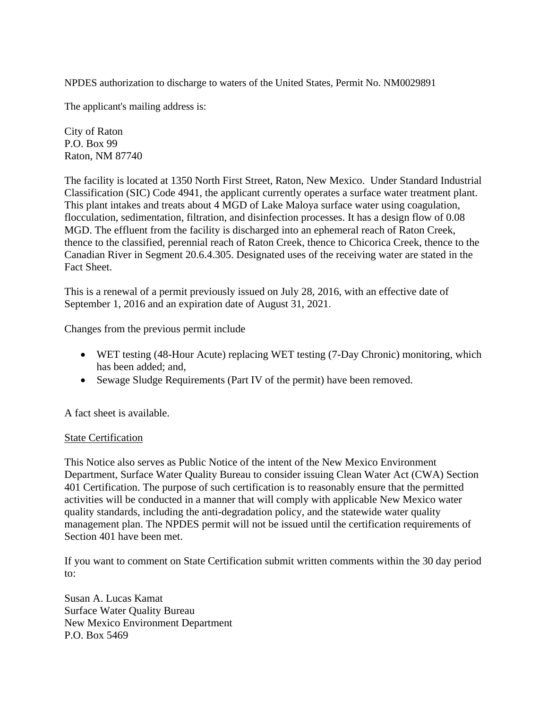NPDES authorization to discharge to waters of the United States, Permit No. NM0029891

The applicant's mailing address is:

City of Raton P.O. Box 99 Raton, NM 87740

The facility is located at 1350 North First Street, Raton, New Mexico. Under Standard Industrial Classification (SIC) Code 4941, the applicant currently operates a surface water treatment plant. This plant intakes and treats about 4 MGD of Lake Maloya surface water using coagulation, flocculation, sedimentation, filtration, and disinfection processes. It has a design flow of 0.08 MGD. The effluent from the facility is discharged into an ephemeral reach of Raton Creek, thence to the classified, perennial reach of Raton Creek, thence to Chicorica Creek, thence to the Canadian River in Segment 20.6.4.305. Designated uses of the receiving water are stated in the Fact Sheet.

This is a renewal of a permit previously issued on July 28, 2016, with an effective date of September 1, 2016 and an expiration date of August 31, 2021.

Changes from the previous permit include

- WET testing (48-Hour Acute) replacing WET testing (7-Day Chronic) monitoring, which has been added; and,
- Sewage Sludge Requirements (Part IV of the permit) have been removed.

A fact sheet is available.

## State Certification

This Notice also serves as Public Notice of the intent of the New Mexico Environment Department, Surface Water Quality Bureau to consider issuing Clean Water Act (CWA) Section 401 Certification. The purpose of such certification is to reasonably ensure that the permitted activities will be conducted in a manner that will comply with applicable New Mexico water quality standards, including the anti-degradation policy, and the statewide water quality management plan. The NPDES permit will not be issued until the certification requirements of Section 401 have been met.

If you want to comment on State Certification submit written comments within the 30 day period to:

Susan A. Lucas Kamat Surface Water Quality Bureau New Mexico Environment Department P.O. Box 5469